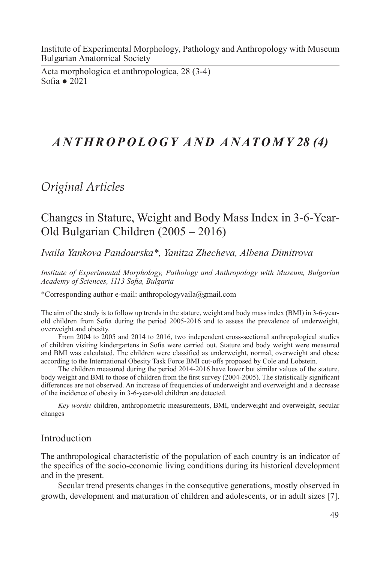Institute of Experimental Morphology, Pathology and Anthropology with Museum Bulgarian Anatomical Society

Acta morphologica et anthropologica, 28 (3-4) Sofia ● 2021

# *A N T H R O P O L O G Y A N D A N AT O M Y 28 (4)*

*Original Articles*

## Changes in Stature, Weight and Body Mass Index in 3-6-Year-Old Bulgarian Children (2005 – 2016)

*Ivaila Yankova Pandourska\*, Yanitza Zhecheva, Albena Dimitrova*

*Institute of Experimental Morphology, Pathology and Anthropology with Museum, Bulgarian Academy of Sciences, 1113 Sofia, Bulgaria* 

\*Corresponding author e-mail: anthropologyvaila@gmail.com

The aim of the study is to follow up trends in the stature, weight and body mass index (BMI) in 3-6-yearold children from Sofia during the period 2005-2016 and to assess the prevalence of underweight, overweight and obesity.

From 2004 to 2005 and 2014 to 2016, two independent cross-sectional anthropological studies of children visiting kindergartens in Sofia were carried out. Stature and body weight were measured and BMI was calculated. The children were classified as underweight, normal, overweight and obese according to the International Obesity Task Force BMI cut-offs proposed by Cole and Lobstein.

The children measured during the period 2014-2016 have lower but similar values of the stature, body weight and BMI to those of children from the first survey (2004-2005). The statistically significant differences are not observed. An increase of frequencies of underweight and overweight and a decrease of the incidence of obesity in 3-6-year-old children are detected.

*Key words:* children, anthropometric measurements, BMI, underweight and overweight, secular changes

## Introduction

The anthropological characteristic of the population of each country is an indicator of the specifics of the socio-economic living conditions during its historical development and in the present.

Secular trend presents changes in the consequtive generations, mostly observed in growth, development and maturation of children and adolescents, or in adult sizes [7].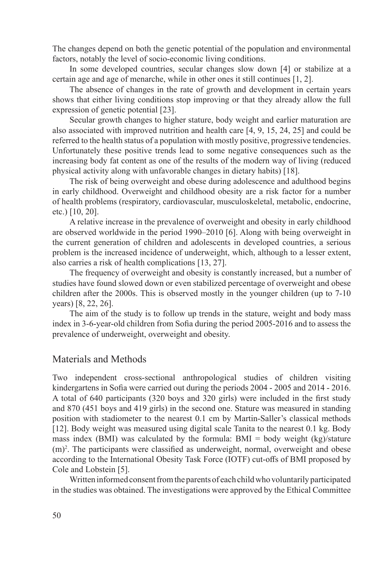The changes depend on both the genetic potential of the population and environmental factors, notably the level of socio-economic living conditions.

In some developed countries, secular changes slow down [4] or stabilize at a certain age and age of menarche, while in other ones it still continues [1, 2].

The absence of changes in the rate of growth and development in certain years shows that either living conditions stop improving or that they already allow the full expression of genetic potential [23].

Secular growth changes to higher stature, body weight and earlier maturation are also associated with improved nutrition and health care [4, 9, 15, 24, 25] and could be referred to the health status of a population with mostly positive, progressive tendencies. Unfortunately these positive trends lead to some negative consequences such as the increasing body fat content as one of the results of the modern way of living (reduced physical activity along with unfavorable changes in dietary habits) [18].

The risk of being overweight and obese during adolescence and adulthood begins in early childhood. Overweight and childhood obesity are a risk factor for a number of health problems (respiratory, cardiovascular, musculoskeletal, metabolic, endocrine, etc.) [10, 20].

A relative increase in the prevalence of overweight and obesity in early childhood are observed worldwide in the period 1990–2010 [6]. Along with being overweight in the current generation of children and adolescents in developed countries, a serious problem is the increased incidence of underweight, which, although to a lesser extent, also carries a risk of health complications [13, 27].

The frequency of overweight and obesity is constantly increased, but a number of studies have found slowed down or even stabilized percentage of overweight and obese children after the 2000s. This is observed mostly in the younger children (up to 7-10 years) [8, 22, 26].

The aim of the study is to follow up trends in the stature, weight and body mass index in 3-6-year-old children from Sofia during the period 2005-2016 and to assess the prevalence of underweight, overweight and obesity.

## Materials and Methods

Two independent cross-sectional anthropological studies of children visiting kindergartens in Sofia were carried out during the periods 2004 - 2005 and 2014 - 2016. A total of 640 participants (320 boys and 320 girls) were included in the first study and 870 (451 boys and 419 girls) in the second one. Stature was measured in standing position with stadiometer to the nearest 0.1 cm by Martin-Saller's classical methods [12]. Body weight was measured using digital scale Tanita to the nearest 0.1 kg. Body mass index (BMI) was calculated by the formula:  $BMI = body$  weight (kg)/stature (m)2 . The participants were classified as underweight, normal, overweight and obese according to the International Obesity Task Force (IOTF) cut-offs of BMI proposed by Cole and Lobstein [5].

Written informed consent from the parents of each child who voluntarily participated in the studies was obtained. The investigations were approved by the Ethical Committee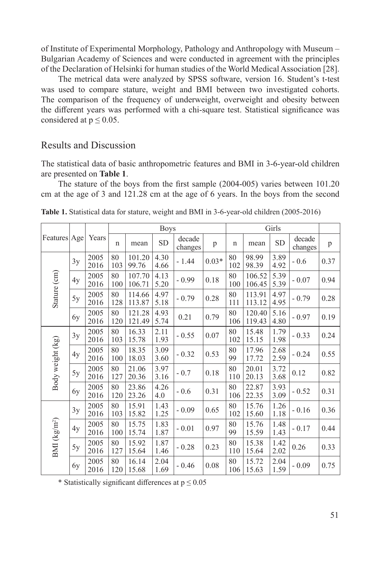of Institute of Experimental Morphology, Pathology and Anthropology with Museum – Bulgarian Academy of Sciences and were conducted in agreement with the principles of the Declaration of Helsinki for human studies of the World Medical Association [28].

The metrical data were analyzed by SPSS software, version 16. Student's t-test was used to compare stature, weight and BMI between two investigated cohorts. The comparison of the frequency of underweight, overweight and obesity between the different years was performed with a chi-square test. Statistical significance was considered at  $p \leq 0.05$ .

#### Results and Discussion

The statistical data of basic anthropometric features and BMI in 3-6-year-old children are presented on **Table 1**.

The stature of the boys from the first sample (2004-005) varies between 101.20 cm at the age of 3 and 121.28 cm at the age of 6 years. In the boys from the second

| Features   Age   |    | Years        | <b>Boys</b> |                  |              |                   |         |             | Girls            |              |                   |      |
|------------------|----|--------------|-------------|------------------|--------------|-------------------|---------|-------------|------------------|--------------|-------------------|------|
|                  |    |              | $\mathbf n$ | mean             | <b>SD</b>    | decade<br>changes | p       | $\mathbf n$ | mean             | <b>SD</b>    | decade<br>changes | p    |
| Stature (cm)     | 3y | 2005<br>2016 | 80<br>103   | 101.20<br>99.76  | 4.30<br>4.66 | $-1.44$           | $0.03*$ | 80<br>102   | 98.99<br>98.39   | 3.89<br>4.92 | $-0.6$            | 0.37 |
|                  | 4y | 2005<br>2016 | 80<br>100   | 107.70<br>106.71 | 4.13<br>5.20 | $-0.99$           | 0.18    | 80<br>100   | 106.52<br>106.45 | 5.39<br>5.39 | $-0.07$           | 0.94 |
|                  | 5y | 2005<br>2016 | 80<br>128   | 114.66<br>113.87 | 4.97<br>5.18 | $-0.79$           | 0.28    | 80<br>111   | 113.91<br>113.12 | 4.97<br>4.95 | $-0.79$           | 0.28 |
|                  | 6y | 2005<br>2016 | 80<br>120   | 121.28<br>121.49 | 4.93<br>5.74 | 0.21              | 0.79    | 80<br>106   | 120.40<br>119.43 | 5.16<br>4.80 | $-0.97$           | 0.19 |
| Body weight (kg) | 3y | 2005<br>2016 | 80<br>103   | 16.33<br>15.78   | 2.11<br>1.93 | $-0.55$           | 0.07    | 80<br>102   | 15.48<br>15.15   | 1.79<br>1.98 | $-0.33$           | 0.24 |
|                  | 4y | 2005<br>2016 | 80<br>100   | 18.35<br>18.03   | 3.09<br>3.60 | $-0.32$           | 0.53    | 80<br>99    | 17.96<br>17.72   | 2.68<br>2.59 | $-0.24$           | 0.55 |
|                  | 5y | 2005<br>2016 | 80<br>127   | 21.06<br>20.36   | 3.97<br>3.16 | $-0.7$            | 0.18    | 80<br>110   | 20.01<br>20.13   | 3.72<br>3.68 | 0.12              | 0.82 |
|                  | 6y | 2005<br>2016 | 80<br>120   | 23.86<br>23.26   | 4.26<br>4.0  | $-0.6$            | 0.31    | 80<br>106   | 22.87<br>22.35   | 3.93<br>3.09 | $-0.52$           | 0.31 |
| BMI $(kg/m^2)$   | 3y | 2005<br>2016 | 80<br>103   | 15.91<br>15.82   | 1.43<br>1.25 | $-0.09$           | 0.65    | 80<br>102   | 15.76<br>15.60   | 1.26<br>1.18 | $-0.16$           | 0.36 |
|                  | 4y | 2005<br>2016 | 80<br>100   | 15.75<br>15.74   | 1.83<br>1.87 | $-0.01$           | 0.97    | 80<br>99    | 15.76<br>15.59   | 1.48<br>1.43 | $-0.17$           | 0.44 |
|                  | 5y | 2005<br>2016 | 80<br>127   | 15.92<br>15.64   | 1.87<br>1.46 | $-0.28$           | 0.23    | 80<br>110   | 15.38<br>15.64   | 1.42<br>2.02 | 0.26              | 0.33 |
|                  | 6y | 2005<br>2016 | 80<br>120   | 16.14<br>15.68   | 2.04<br>1.69 | $-0.46$           | 0.08    | 80<br>106   | 15.72<br>15.63   | 2.04<br>1.59 | $-0.09$           | 0.75 |

**Table 1.** Statistical data for stature, weight and BMI in 3-6-year-old children (2005-2016)

\* Statistically significant differences at  $p \le 0.05$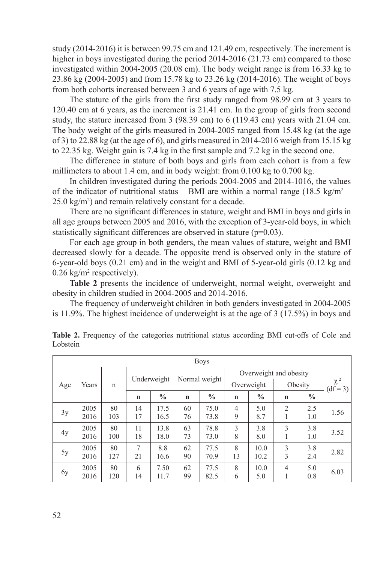study (2014-2016) it is between 99.75 cm and 121.49 cm, respectively. The increment is higher in boys investigated during the period 2014-2016 (21.73 cm) compared to those investigated within 2004-2005 (20.08 cm). The body weight range is from 16.33 kg to 23.86 kg (2004-2005) and from 15.78 kg to 23.26 kg (2014-2016). The weight of boys from both cohorts increased between 3 and 6 years of age with 7.5 kg.

The stature of the girls from the first study ranged from 98.99 cm at 3 years to 120.40 cm at 6 years, as the increment is 21.41 cm. In the group of girls from second study, the stature increased from 3 (98.39 cm) to 6 (119.43 cm) years with 21.04 cm. The body weight of the girls measured in 2004-2005 ranged from 15.48 kg (at the age of 3) to 22.88 kg (at the age of 6), and girls measured in 2014-2016 weigh from 15.15 kg to 22.35 kg. Weight gain is 7.4 kg in the first sample and 7.2 kg in the second one.

The difference in stature of both boys and girls from each cohort is from a few millimeters to about 1.4 cm, and in body weight: from 0.100 kg to 0.700 kg.

In children investigated during the periods 2004-2005 and 2014-1016, the values of the indicator of nutritional status – BMI are within a normal range  $(18.5 \text{ kg/m}^2 25.0 \text{ kg/m}^2$ ) and remain relatively constant for a decade.

There are no significant differences in stature, weight and BMI in boys and girls in all age groups between 2005 and 2016, with the exception of 3-year-old boys, in which statistically significant differences are observed in stature  $(p=0.03)$ .

For each age group in both genders, the mean values of stature, weight and BMI decreased slowly for a decade. The opposite trend is observed only in the stature of 6-year-old boys (0.21 cm) and in the weight and BMI of 5-year-old girls (0.12 kg and  $0.26 \text{ kg/m}^2$  respectively).

**Table 2** presents the incidence of underweight, normal weight, overweight and obesity in children studied in 2004-2005 and 2014-2016.

The frequency of underweight children in both genders investigated in 2004-2005 is 11.9%. The highest incidence of underweight is at the age of  $3(17.5%)$  in boys and

| <b>Boys</b> |              |             |             |               |               |               |                        |               |                     |               |                           |
|-------------|--------------|-------------|-------------|---------------|---------------|---------------|------------------------|---------------|---------------------|---------------|---------------------------|
| Age         | Years        | $\mathbf n$ |             |               | Normal weight |               | Overweight and obesity |               |                     |               |                           |
|             |              |             |             | Underweight   |               |               | Overweight             |               | Obesity             |               | $\chi$ $^{2}$<br>$(df=3)$ |
|             |              |             | $\mathbf n$ | $\frac{0}{0}$ | $\mathbf n$   | $\frac{0}{0}$ | $\mathbf n$            | $\frac{0}{0}$ | $\mathbf n$         | $\frac{0}{0}$ |                           |
| 3y          | 2005<br>2016 | 80<br>103   | 14<br>17    | 17.5<br>16.5  | 60<br>76      | 75.0<br>73.8  | $\overline{4}$<br>9    | 5.0<br>8.7    | $\overline{2}$<br>1 | 2.5<br>1.0    | 1.56                      |
| 4y          | 2005<br>2016 | 80<br>100   | 11<br>18    | 13.8<br>18.0  | 63<br>73      | 78.8<br>73.0  | 3<br>8                 | 3.8<br>8.0    | 3<br>1              | 3.8<br>1.0    | 3.52                      |
| 5y          | 2005<br>2016 | 80<br>127   | 7<br>21     | 8.8<br>16.6   | 62<br>90      | 77.5<br>70.9  | 8<br>13                | 10.0<br>10.2  | 3<br>3              | 3.8<br>2.4    | 2.82                      |
| 6y          | 2005<br>2016 | 80<br>120   | 6<br>14     | 7.50<br>11.7  | 62<br>99      | 77.5<br>82.5  | 8<br>6                 | 10.0<br>5.0   | $\overline{4}$<br>1 | 5.0<br>0.8    | 6.03                      |

**Tablе 2.** Frequency of the categories nutritional status according BMI cut-offs of Cole and Lobstein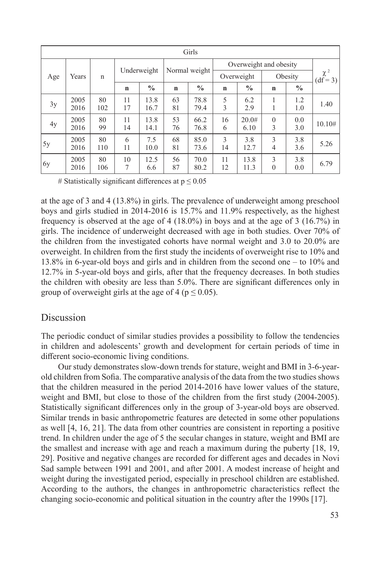| Girls  |              |              |             |               |               |               |                        |               |               |               |                             |
|--------|--------------|--------------|-------------|---------------|---------------|---------------|------------------------|---------------|---------------|---------------|-----------------------------|
| Age    | Years        | $\mathsf{n}$ |             | Underweight   | Normal weight |               | Overweight and obesity |               |               |               |                             |
|        |              |              |             |               |               |               | Overweight             |               | Obesity       |               | $\chi$ $^{2}$<br>$(df = 3)$ |
|        |              |              | $\mathbf n$ | $\frac{0}{0}$ | $\mathbf n$   | $\frac{0}{0}$ | $\mathbf n$            | $\frac{0}{0}$ | $\mathbf n$   | $\frac{0}{0}$ |                             |
| 3y     | 2005<br>2016 | 80<br>102    | 11<br>17    | 13.8<br>16.7  | 63<br>81      | 78.8<br>79.4  | 5<br>3                 | 6.2<br>2.9    | 1<br>1        | 1.2<br>1.0    | 1.40                        |
| 4y     | 2005<br>2016 | 80<br>99     | 11<br>14    | 13.8<br>14.1  | 53<br>76      | 66.2<br>76.8  | 16<br>6                | 20.0#<br>6.10 | $\theta$<br>3 | 0.0<br>3.0    | 10.10#                      |
| 5y     | 2005<br>2016 | 80<br>110    | 6<br>11     | 7.5<br>10.0   | 68<br>81      | 85.0<br>73.6  | 3<br>14                | 3.8<br>12.7   | 3<br>4        | 3.8<br>3.6    | 5.26                        |
| $\log$ | 2005<br>2016 | 80<br>106    | 10<br>7     | 12.5<br>6.6   | 56<br>87      | 70.0<br>80.2  | 11<br>12               | 13.8<br>11.3  | 3<br>$\theta$ | 3.8<br>0.0    | 6.79                        |

# Statistically significant differences at  $p \le 0.05$ 

at the age of 3 and 4 (13.8%) in girls. The prevalence of underweight among preschool boys and girls studied in 2014-2016 is 15.7% and 11.9% respectively, as the highest frequency is observed at the age of 4 (18.0%) in boys and at the age of 3 (16.7%) in girls. The incidence of underweight decreased with age in both studies. Over 70% of the children from the investigated cohorts have normal weight and 3.0 to 20.0% are overweight. In children from the first study the incidents of overweight rise to 10% and 13.8% in 6-year-old boys and girls and in children from the second one – to 10% and 12.7% in 5-year-old boys and girls, after that the frequency decreases. In both studies the children with obesity are less than 5.0%. There are significant differences only in group of overweight girls at the age of 4 ( $p \le 0.05$ ).

#### Discussion

The periodic conduct of similar studies provides a possibility to follow the tendencies in children and adolescents' growth and development for certain periods of time in different socio-economic living conditions.

Our study demonstrates slow-down trends for stature, weight and BMI in 3-6-yearold children from Sofia. The comparative analysis of the data from the two studies shows that the children measured in the period 2014-2016 have lower values of the stature, weight and BMI, but close to those of the children from the first study (2004-2005). Statistically significant differences only in the group of 3-year-old boys are observed. Similar trends in basic anthropometric features are detected in some other populations as well [4, 16, 21]. The data from other countries are consistent in reporting a positive trend. In children under the age of 5 the secular changes in stature, weight and BMI are the smallest and increase with age and reach a maximum during the puberty [18, 19, 29]. Positive and negative changes are recorded for different ages and decades in Novi Sad sample between 1991 and 2001, and after 2001. A modest increase of height and weight during the investigated period, especially in preschool children are established. According to the authors, the changes in anthropometric characteristics reflect the changing socio-economic and political situation in the country after the 1990s [17].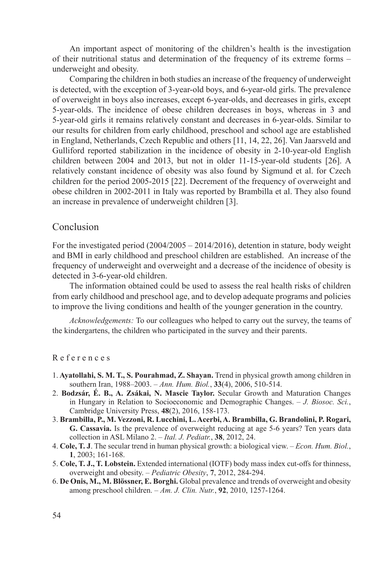An important aspect of monitoring of the children's health is the investigation of their nutritional status and determination of the frequency of its extreme forms – underweight and obesity.

Comparing the children in both studies an increase of the frequency of underweight is detected, with the exception of 3-year-old boys, and 6-year-old girls. The prevalence of overweight in boys also increases, except 6-year-olds, and decreases in girls, except 5-year-olds. The incidence of obese children decreases in boys, whereas in 3 and 5-year-old girls it remains relatively constant and decreases in 6-year-olds. Similar to our results for children from early childhood, preschool and school age are established in England, Netherlands, Czech Republic and others [11, 14, 22, 26]. Van Jaarsveld and Gulliford reported stabilization in the incidence of obesity in 2-10-year-old English children between 2004 and 2013, but not in older 11-15-year-old students [26]. A relatively constant incidence of obesity was also found by Sigmund et al. for Czech children for the period 2005-2015 [22]. Decrement of the frequency of overweight and obese children in 2002-2011 in Italy was reported by Brambilla et al. They also found an increase in prevalence of underweight children [3].

## Conclusion

For the investigated period (2004/2005 – 2014/2016), detention in stature, body weight and BMI in early childhood and preschool children are established. An increase of the frequency of underweight and overweight and a decrease of the incidence of obesity is detected in 3-6-year-old children.

The information obtained could be used to assess the real health risks of children from early childhood and preschool age, and to develop adequate programs and policies to improve the living conditions and health of the younger generation in the country.

*Acknowledgements:* To our colleagues who helped to carry out the survey, the teams of the kindergartens, the children who participated in the survey and their parents.

#### R e f e r e n c e s

- 1. **Ayatollahi, S. M. T., S. Pourahmad, Z. Shayan.** Trend in physical growth among children in southern Iran, 1988–2003. – *Ann. Hum. Biol.*, **33**(4), 2006, 510-514.
- 2. **Bodzsár, É. B., A. Zsákai, N. Mascie Taylor.** Secular Growth and Maturation Changes in Hungary in Relation to Socioeconomic and Demographic Changes. – *J. Biosoc. Sci.*, Cambridge University Press, **48**(2), 2016, 158-173.
- 3. **Brambilla, P., M. Vezzoni, R. Lucchini, L. Acerbi, A. Brambilla, G. Brandolini, P. Rogari, G. Cassavia.** Is the prevalence of overweight reducing at age 5-6 years? Ten years data collection in ASL Milano 2. – *Ital. J. Pediatr.*, **38**, 2012, 24.
- 4. **Cole, T. J**. The secular trend in human physical growth: a biological view. *Econ. Hum. Biol.*, **1**, 2003; 161-168.
- 5. **Cole, T. J., T. Lobstein.** Extended international (IOTF) body mass index cut-offs for thinness, overweight and obesity. – *Pediatric Obesity*, **7**, 2012, 284-294.
- 6. **De Onis, M., M. Blössner, E. Borghi.** Global prevalence and trends of overweight and obesity among preschool children. – *Am. J. Clin. Nutr.*, **92**, 2010, 1257-1264.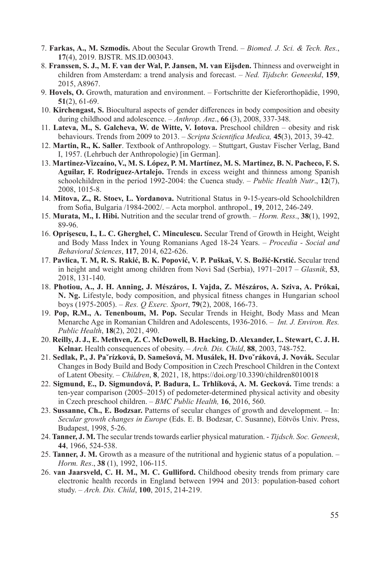- 7. **Farkas, A., M. Szmodis.** About the Secular Growth Trend. *Biomed. J. Sci. & Tech. Res.*, **17**(4), 2019. BJSTR. MS.ID.003043.
- 8. **Franssen, S. J., M. F. van der Wal, P. Jansen, M. van Eijsden.** Thinness and overweight in children from Amsterdam: a trend analysis and forecast. – *Ned. Tijdschr. Geneeskd*, **159**, 2015, A8967.
- 9. **Hovels, O.** Growth, maturation and environment. Fortschritte der Kieferorthopädie, 1990, **51**(2), 61-69.
- 10. **Kirchengast, S.** Biocultural aspects of gender differences in body composition and obesity during childhood and adolescence. – *Anthrop. Anz*., **66** (3), 2008, 337-348.
- 11. **Lateva, M., S. Galcheva, W. de Witte, V. Iotova.** Preschool children obesity and risk behaviours. Trends from 2009 to 2013. – *Scripta Scientifica Medica,* **45**(3), 2013, 39-42.
- 12. **Martin, R., K. Saller**. Textbook of Anthropology. Stuttgart, Gustav Fischer Verlag, Band I, 1957. (Lehrbuch der Anthropologie) [in German].
- 13. **Martinez-Vizcaíno, V., M. S. López, P. M. Martínez, M. S. Martinez, B. N. Pacheco, F. S. Aguilar, F. Rodríguez-Artalejo.** Trends in excess weight and thinness among Spanish schoolchildren in the period 1992-2004: the Cuenca study. – *Public Health Nutr*., **12**(7), 2008, 1015-8.
- 14. **Mitova, Z., R. Stoev, L. Yordanova.** Nutritional Status in 9-15-years-old Schoolchildren from Sofia, Bulgaria /1984-2002/. – Acta morphol. anthropol., **19**, 2012, 246-249.
- 15. **Murata, M., I. Hibi.** Nutrition and the secular trend of growth. *Horm. Ress*., **38**(1), 1992, 89-96.
- 16. **Oprişescu, I., L. C. Gherghel, C. Minculescu.** Secular Trend of Growth in Height, Weight and Body Mass Index in Young Romanians Aged 18-24 Years. – *Procedia - Social and Behavioral Sciences*, **117**, 2014, 622-626.
- 17. **Pavlica, T. M, R. S. Rakić, B. K. Popović, V. P. Puškaš, V. S. Božić-Krstić.** Secular trend in height and weight among children from Novi Sad (Serbia), 1971–2017 – *Glasnik*, **53**, 2018, 131-140.
- 18. **Photiou, A., J. H. Anning, J. Mészáros, I. Vajda, Z. Mészáros, A. Sziva, A. Prókai, N. Ng.** Lifestyle, body composition, and physical fitness changes in Hungarian school boys (1975-2005). – *Res. Q Exerc. Sport*, **79**(2), 2008, 166-73.
- 19. **Pop, R.M., A. Tenenboum, M. Pop.** Secular Trends in Height, Body Mass and Mean Menarche Age in Romanian Children and Adolescents, 1936-2016. – *Int. J. Environ. Res. Public Health*, **18**(2), 2021, 490.
- 20. **Reilly, J. J., E. Methven, Z. C. McDowell, B. Hacking, D. Alexander, L. Stewart, C. J. H. Kelnar.** Health consequences of obesity. – *Arch. Dis. Child*, **88**, 2003, 748-752.
- 21. **Sedlak, P., J. Paˇrízková, D. Samešová, M. Musálek, H. Dvoˇráková, J. Novák.** Secular Changes in Body Build and Body Composition in Czech Preschool Children in the Context of Latent Obesity. – *Children*, **8**, 2021, 18, https://doi.org/10.3390/children8010018
- 22. **Sigmund, E., D. Sigmundová, P. Badura, L. Trhlíková, A. M. Gecková.** Time trends: a ten-year comparison (2005–2015) of pedometer-determined physical activity and obesity in Czech preschool children. – *BMC Public Health,* **16**, 2016, 560.
- 23. **Sussanne, Ch., E. Bodzsar.** Patterns of secular changes of growth and development. In: *Secular growth changes in Europe* (Eds. E. B. Bodzsar, C. Susanne), Eötvös Univ. Press, Budapest, 1998, 5-26.
- 24. **Tanner, J. M.** The secular trends towards earlier physical maturation. *Tijdsch. Soc. Geneesk*, **44**, 1966, 524-538.
- 25. **Tanner, J. M.** Growth as a measure of the nutritional and hygienic status of a population. *Horm. Res*., **38** (1), 1992, 106-115.
- 26. **van Jaarsveld, C. H. M., M. C. Gulliford.** Childhood obesity trends from primary care electronic health records in England between 1994 and 2013: population-based cohort study. – *Arch. Dis. Child*, **100**, 2015, 214-219.